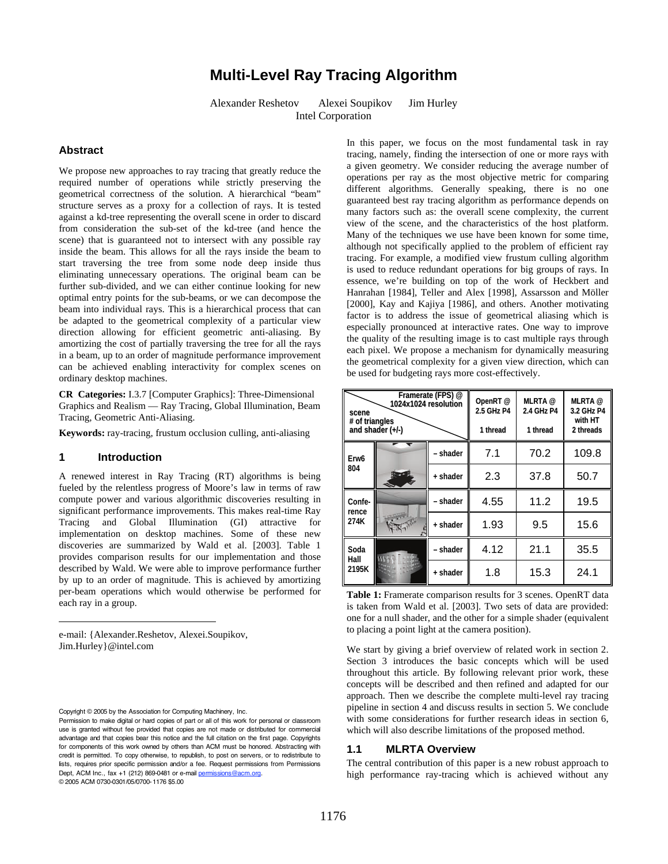# **Multi-Level Ray Tracing Algorithm**

Alexander Reshetov Alexei Soupikov Jim Hurley

Intel Corporation

### **Abstract**

We propose new approaches to ray tracing that greatly reduce the required number of operations while strictly preserving the geometrical correctness of the solution. A hierarchical "beam" structure serves as a proxy for a collection of rays. It is tested against a kd-tree representing the overall scene in order to discard from consideration the sub-set of the kd-tree (and hence the scene) that is guaranteed not to intersect with any possible ray inside the beam. This allows for all the rays inside the beam to start traversing the tree from some node deep inside thus eliminating unnecessary operations. The original beam can be further sub-divided, and we can either continue looking for new optimal entry points for the sub-beams, or we can decompose the beam into individual rays. This is a hierarchical process that can be adapted to the geometrical complexity of a particular view direction allowing for efficient geometric anti-aliasing. By amortizing the cost of partially traversing the tree for all the rays in a beam, up to an order of magnitude performance improvement can be achieved enabling interactivity for complex scenes on ordinary desktop machines.

**CR Categories:** I.3.7 [Computer Graphics]: Three-Dimensional Graphics and Realism — Ray Tracing, Global Illumination, Beam Tracing, Geometric Anti-Aliasing.

**Keywords:** ray-tracing, frustum occlusion culling, anti-aliasing

#### **1 Introduction**

<span id="page-0-0"></span> $\overline{a}$ 

A renewed interest in Ray Tracing (RT) algorithms is being fueled by the relentless progress of Moore's law in terms of raw compute power and various algorithmic discoveries resulting in significant performance improvements. This makes real-time Ray Tracing and Global Illumination (GI) attractive for implementation on desktop machines. Some of these new discoveries are summarized by Wald et al. [2003]. [Table 1](#page-0-0) provides comparison results for our implementation and those described by Wald. We were able to improve performance further by up to an order of magnitude. This is achieved by amortizing per-beam operations which would otherwise be performed for each ray in a group.

e-mail: {Alexander.Reshetov, Alexei.Soupikov, Jim.Hurley}@intel.com

Copyright © 2005 by the Association for Computing Machinery, Inc.

In this paper, we focus on the most fundamental task in ray tracing, namely, finding the intersection of one or more rays with a given geometry. We consider reducing the average number of operations per ray as the most objective metric for comparing different algorithms. Generally speaking, there is no one guaranteed best ray tracing algorithm as performance depends on many factors such as: the overall scene complexity, the current view of the scene, and the characteristics of the host platform. Many of the techniques we use have been known for some time, although not specifically applied to the problem of efficient ray tracing. For example, a modified view frustum culling algorithm is used to reduce redundant operations for big groups of rays. In essence, we're building on top of the work of Heckbert and Hanrahan [1984], Teller and Alex [1998], Assarsson and Möller [2000], Kay and Kajiya [1986], and others. Another motivating factor is to address the issue of geometrical aliasing which is especially pronounced at interactive rates. One way to improve the quality of the resulting image is to cast multiple rays through each pixel. We propose a mechanism for dynamically measuring the geometrical complexity for a given view direction, which can be used for budgeting rays more cost-effectively.

| Framerate (FPS) @<br>1024x1024 resolution<br>scene<br># of triangles<br>and shader $(+/-)$ |  |          | OpenRT@<br>2.5 GHz P4<br>1 thread | MLRTA@<br>2.4 GHz P4<br>1 thread | <b>MLRTA</b> @<br>3.2 GHz P4<br>with HT<br>2 threads |
|--------------------------------------------------------------------------------------------|--|----------|-----------------------------------|----------------------------------|------------------------------------------------------|
| Erw <sub>6</sub><br>804                                                                    |  | - shader | 7.1                               | 70.2                             | 109.8                                                |
|                                                                                            |  | + shader | 2.3                               | 37.8                             | 50.7                                                 |
| Confe-<br>rence<br>274K                                                                    |  | - shader | 4.55                              | 11.2                             | 19.5                                                 |
|                                                                                            |  | + shader | 1.93                              | 9.5                              | 15.6                                                 |
| Soda<br>Hall<br>2195K                                                                      |  | - shader | 4.12                              | 21.1                             | 35.5                                                 |
|                                                                                            |  | + shader | 1.8                               | 15.3                             | 24.1                                                 |

**Table 1:** Framerate comparison results for 3 scenes. OpenRT data is taken from Wald et al. [2003]. Two sets of data are provided: one for a null shader, and the other for a simple shader (equivalent to placing a point light at the camera position).

We start by giving a brief overview of related work in section [2.](#page-1-0) Section [3](#page-1-1) introduces the basic concepts which will be used throughout this article. By following relevant prior work, these concepts will be described and then refined and adapted for our approach. Then we describe the complete multi-level ray tracing pipeline in section [4](#page-4-0) and discuss results in section [5.](#page-7-0) We conclude with some considerations for further research ideas in section [6,](#page-8-0) which will also describe limitations of the proposed method.

## **1.1 MLRTA Overview**

The central contribution of this paper is a new robust approach to high performance ray-tracing which is achieved without any

Permission to make digital or hard copies of part or all of this work for personal or classroom use is granted without fee provided that copies are not made or distributed for commercial advantage and that copies bear this notice and the full citation on the first page. Copyrights for components of this work owned by others than ACM must be honored. Abstracting with credit is permitted. To copy otherwise, to republish, to post on servers, or to redistribute to lists, requires prior specific permission and/or a fee. Request permissions from Permissions Dept, ACM Inc., fax +1 (212) 869-0481 or e-mail permissions@acm.org. © 2005 ACM 0730-0301/05/0700-1176 \$5.00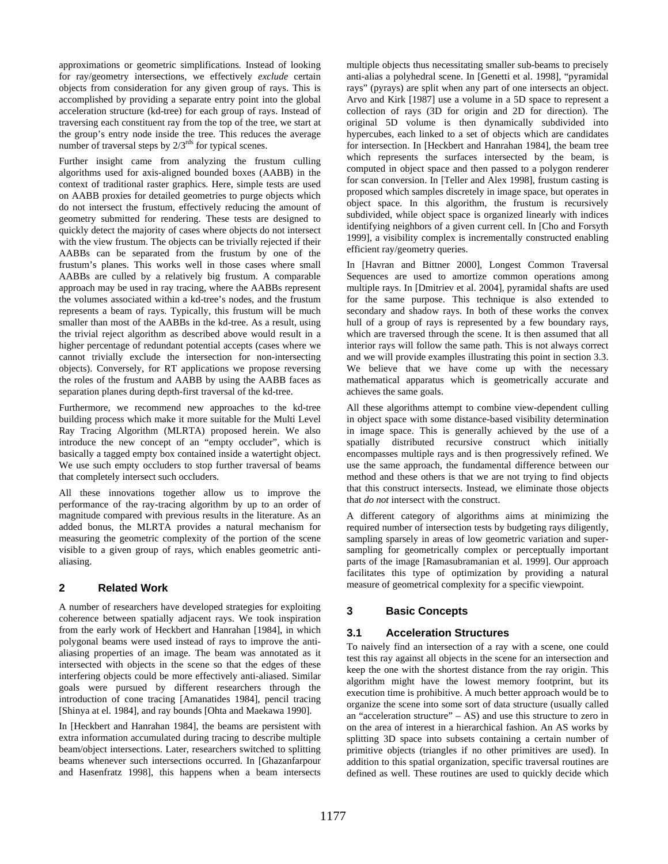approximations or geometric simplifications*.* Instead of looking for ray/geometry intersections, we effectively *exclude* certain objects from consideration for any given group of rays. This is accomplished by providing a separate entry point into the global acceleration structure (kd-tree) for each group of rays. Instead of traversing each constituent ray from the top of the tree, we start at the group's entry node inside the tree. This reduces the average number of traversal steps by  $2/3^{rds}$  for typical scenes.

Further insight came from analyzing the frustum culling algorithms used for axis-aligned bounded boxes (AABB) in the context of traditional raster graphics. Here, simple tests are used on AABB proxies for detailed geometries to purge objects which do not intersect the frustum, effectively reducing the amount of geometry submitted for rendering. These tests are designed to quickly detect the majority of cases where objects do not intersect with the view frustum. The objects can be trivially rejected if their AABBs can be separated from the frustum by one of the frustum's planes. This works well in those cases where small AABBs are culled by a relatively big frustum. A comparable approach may be used in ray tracing, where the AABBs represent the volumes associated within a kd-tree's nodes, and the frustum represents a beam of rays. Typically, this frustum will be much smaller than most of the AABBs in the kd-tree. As a result, using the trivial reject algorithm as described above would result in a higher percentage of redundant potential accepts (cases where we cannot trivially exclude the intersection for non-intersecting objects). Conversely, for RT applications we propose reversing the roles of the frustum and AABB by using the AABB faces as separation planes during depth-first traversal of the kd-tree.

Furthermore, we recommend new approaches to the kd-tree building process which make it more suitable for the Multi Level Ray Tracing Algorithm (MLRTA) proposed herein. We also introduce the new concept of an "empty occluder", which is basically a tagged empty box contained inside a watertight object. We use such empty occluders to stop further traversal of beams that completely intersect such occluders.

All these innovations together allow us to improve the performance of the ray-tracing algorithm by up to an order of magnitude compared with previous results in the literature. As an added bonus, the MLRTA provides a natural mechanism for measuring the geometric complexity of the portion of the scene visible to a given group of rays, which enables geometric antialiasing.

## <span id="page-1-0"></span>**2 Related Work**

<span id="page-1-1"></span>A number of researchers have developed strategies for exploiting coherence between spatially adjacent rays. We took inspiration from the early work of Heckbert and Hanrahan [1984], in which polygonal beams were used instead of rays to improve the antialiasing properties of an image. The beam was annotated as it intersected with objects in the scene so that the edges of these interfering objects could be more effectively anti-aliased. Similar goals were pursued by different researchers through the introduction of cone tracing [Amanatides 1984], pencil tracing [Shinya at el. 1984], and ray bounds [Ohta and Maekawa 1990].

In [Heckbert and Hanrahan 1984], the beams are persistent with extra information accumulated during tracing to describe multiple beam/object intersections. Later, researchers switched to splitting beams whenever such intersections occurred. In [Ghazanfarpour and Hasenfratz 1998], this happens when a beam intersects

multiple objects thus necessitating smaller sub-beams to precisely anti-alias a polyhedral scene. In [Genetti et al. 1998], "pyramidal rays" (pyrays) are split when any part of one intersects an object. Arvo and Kirk [1987] use a volume in a 5D space to represent a collection of rays (3D for origin and 2D for direction). The original 5D volume is then dynamically subdivided into hypercubes, each linked to a set of objects which are candidates for intersection. In [Heckbert and Hanrahan 1984], the beam tree which represents the surfaces intersected by the beam, is computed in object space and then passed to a polygon renderer for scan conversion. In [Teller and Alex 1998], frustum casting is proposed which samples discretely in image space, but operates in object space. In this algorithm, the frustum is recursively subdivided, while object space is organized linearly with indices identifying neighbors of a given current cell. In [Cho and Forsyth 1999], a visibility complex is incrementally constructed enabling efficient ray/geometry queries.

In [Havran and Bittner 2000], Longest Common Traversal Sequences are used to amortize common operations among multiple rays. In [Dmitriev et al. 2004], pyramidal shafts are used for the same purpose. This technique is also extended to secondary and shadow rays. In both of these works the convex hull of a group of rays is represented by a few boundary rays, which are traversed through the scene. It is then assumed that all interior rays will follow the same path. This is not always correct and we will provide examples illustrating this point in section [3.3.](#page-2-0) We believe that we have come up with the necessary mathematical apparatus which is geometrically accurate and achieves the same goals.

All these algorithms attempt to combine view-dependent culling in object space with some distance-based visibility determination in image space. This is generally achieved by the use of a spatially distributed recursive construct which initially encompasses multiple rays and is then progressively refined. We use the same approach, the fundamental difference between our method and these others is that we are not trying to find objects that this construct intersects. Instead, we eliminate those objects that *do not* intersect with the construct.

A different category of algorithms aims at minimizing the required number of intersection tests by budgeting rays diligently, sampling sparsely in areas of low geometric variation and supersampling for geometrically complex or perceptually important parts of the image [Ramasubramanian et al. 1999]. Our approach facilitates this type of optimization by providing a natural measure of geometrical complexity for a specific viewpoint.

# **3 Basic Concepts**

# **3.1 Acceleration Structures**

To naively find an intersection of a ray with a scene, one could test this ray against all objects in the scene for an intersection and keep the one with the shortest distance from the ray origin. This algorithm might have the lowest memory footprint, but its execution time is prohibitive. A much better approach would be to organize the scene into some sort of data structure (usually called an "acceleration structure" – AS) and use this structure to zero in on the area of interest in a hierarchical fashion. An AS works by splitting 3D space into subsets containing a certain number of primitive objects (triangles if no other primitives are used). In addition to this spatial organization, specific traversal routines are defined as well. These routines are used to quickly decide which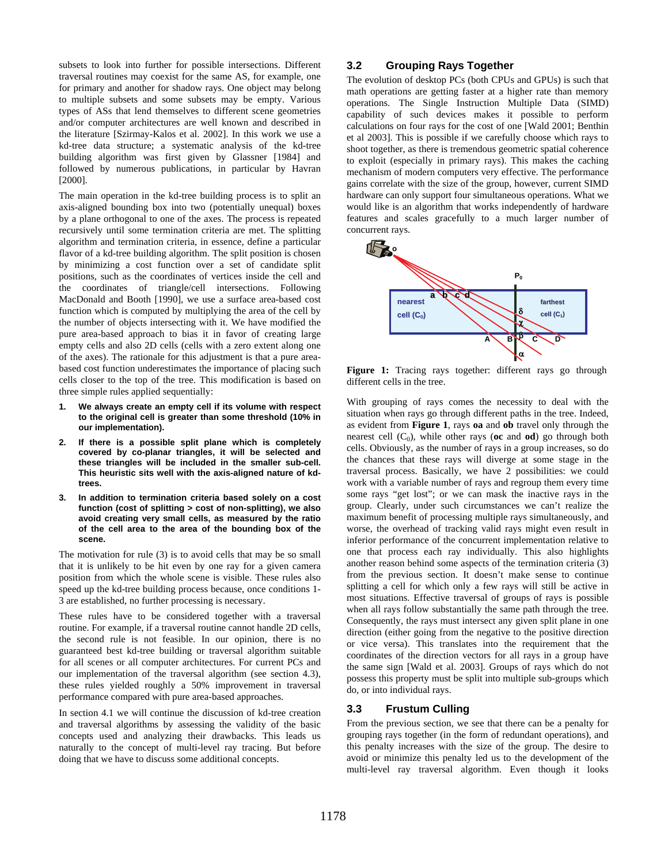<span id="page-2-2"></span>subsets to look into further for possible intersections. Different traversal routines may coexist for the same AS, for example, one for primary and another for shadow rays. One object may belong to multiple subsets and some subsets may be empty. Various types of ASs that lend themselves to different scene geometries and/or computer architectures are well known and described in the literature [Szirmay-Kalos et al. 2002]. In this work we use a kd-tree data structure; a systematic analysis of the kd-tree building algorithm was first given by Glassner [1984] and followed by numerous publications, in particular by Havran [2000].

The main operation in the kd-tree building process is to split an axis-aligned bounding box into two (potentially unequal) boxes by a plane orthogonal to one of the axes. The process is repeated recursively until some termination criteria are met. The splitting algorithm and termination criteria, in essence, define a particular flavor of a kd-tree building algorithm. The split position is chosen by minimizing a cost function over a set of candidate split positions, such as the coordinates of vertices inside the cell and the coordinates of triangle/cell intersections. Following MacDonald and Booth [1990], we use a surface area-based cost function which is computed by multiplying the area of the cell by the number of objects intersecting with it. We have modified the pure area-based approach to bias it in favor of creating large empty cells and also 2D cells (cells with a zero extent along one of the axes). The rationale for this adjustment is that a pure areabased cost function underestimates the importance of placing such cells closer to the top of the tree. This modification is based on three simple rules applied sequentially:

- <span id="page-2-1"></span>**1. We always create an empty cell if its volume with respect to the original cell is greater than some threshold (10% in our implementation).**
- **2. If there is a possible split plane which is completely covered by co-planar triangles, it will be selected and these triangles will be included in the smaller sub-cell. This heuristic sits well with the axis-aligned nature of kdtrees.**
- **3. In addition to termination criteria based solely on a cost function (cost of splitting > cost of non-splitting), we also avoid creating very small cells, as measured by the ratio of the cell area to the area of the bounding box of the scene.**

The motivation for rule (3) is to avoid cells that may be so small that it is unlikely to be hit even by one ray for a given camera position from which the whole scene is visible. These rules also speed up the kd-tree building process because, once conditions 1- 3 are established, no further processing is necessary.

These rules have to be considered together with a traversal routine. For example, if a traversal routine cannot handle 2D cells, the second rule is not feasible. In our opinion, there is no guaranteed best kd-tree building or traversal algorithm suitable for all scenes or all computer architectures. For current PCs and our implementation of the traversal algorithm (see section [4.3\)](#page-6-0), these rules yielded roughly a 50% improvement in traversal performance compared with pure area-based approaches.

<span id="page-2-0"></span>In section [4.1](#page-5-0) we will continue the discussion of kd-tree creation and traversal algorithms by assessing the validity of the basic concepts used and analyzing their drawbacks. This leads us naturally to the concept of multi-level ray tracing. But before doing that we have to discuss some additional concepts.

## **3.2 Grouping Rays Together**

The evolution of desktop PCs (both CPUs and GPUs) is such that math operations are getting faster at a higher rate than memory operations. The Single Instruction Multiple Data (SIMD) capability of such devices makes it possible to perform calculations on four rays for the cost of one [Wald 2001; Benthin et al 2003]. This is possible if we carefully choose which rays to shoot together, as there is tremendous geometric spatial coherence to exploit (especially in primary rays). This makes the caching mechanism of modern computers very effective. The performance gains correlate with the size of the group, however, current SIMD hardware can only support four simultaneous operations. What we would like is an algorithm that works independently of hardware features and scales gracefully to a much larger number of concurrent rays.



**Figure 1:** Tracing rays together: different rays go through different cells in the tree.

With grouping of rays comes the necessity to deal with the situation when rays go through different paths in the tree. Indeed, as evident from **Figure 1**, rays **oa** and **ob** travel only through the nearest cell  $(C_0)$ , while other rays (oc and od) go through both cells. Obviously, as the number of rays in a group increases, so do the chances that these rays will diverge at some stage in the traversal process. Basically, we have 2 possibilities: we could work with a variable number of rays and regroup them every time some rays "get lost"; or we can mask the inactive rays in the group. Clearly, under such circumstances we can't realize the maximum benefit of processing multiple rays simultaneously, and worse, the overhead of tracking valid rays might even result in inferior performance of the concurrent implementation relative to one that process each ray individually. This also highlights another reason behind some aspects of the termination criteria (3) from the previous section. It doesn't make sense to continue splitting a cell for which only a few rays will still be active in most situations. Effective traversal of groups of rays is possible when all rays follow substantially the same path through the tree. Consequently, the rays must intersect any given split plane in one direction (either going from the negative to the positive direction or vice versa). This translates into the requirement that the coordinates of the direction vectors for all rays in a group have the same sign [Wald et al. 2003]. Groups of rays which do not possess this property must be split into multiple sub-groups which do, or into individual rays.

## **3.3 Frustum Culling**

From the previous section, we see that there can be a penalty for grouping rays together (in the form of redundant operations), and this penalty increases with the size of the group. The desire to avoid or minimize this penalty led us to the development of the multi-level ray traversal algorithm. Even though it looks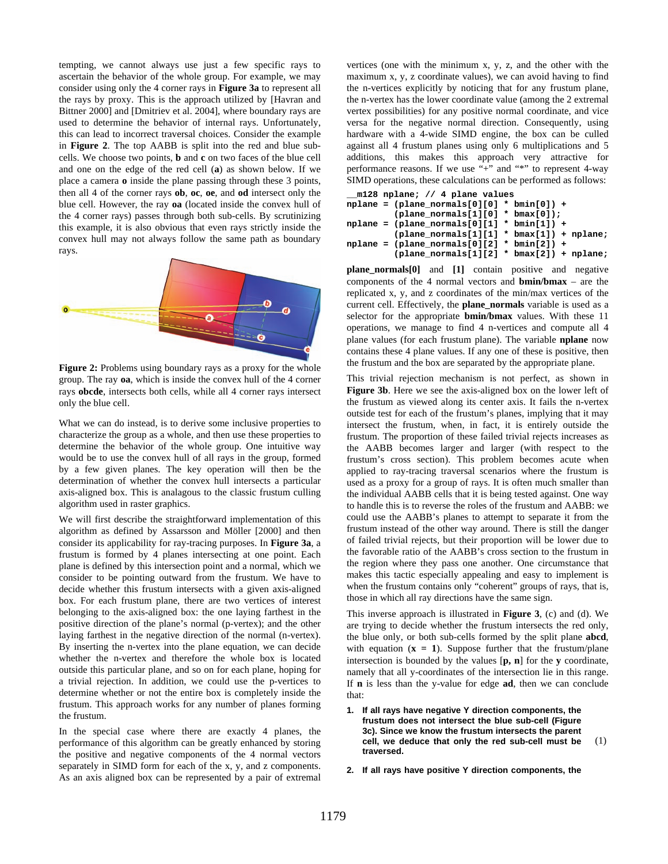tempting, we cannot always use just a few specific rays to ascertain the behavior of the whole group. For example, we may consider using only the 4 corner rays in **[Figure 3](#page-4-1)a** to represent all the rays by proxy. This is the approach utilized by [Havran and Bittner 2000] and [Dmitriev et al. 2004], where boundary rays are used to determine the behavior of internal rays. Unfortunately, this can lead to incorrect traversal choices. Consider the example in **[Figure 2](#page-3-0)**. The top AABB is split into the red and blue subcells. We choose two points, **b** and **c** on two faces of the blue cell and one on the edge of the red cell (**a**) as shown below. If we place a camera **o** inside the plane passing through these 3 points, then all 4 of the corner rays **ob**, **oc**, **oe**, and **od** intersect only the blue cell. However, the ray **oa** (located inside the convex hull of the 4 corner rays) passes through both sub-cells. By scrutinizing this example, it is also obvious that even rays strictly inside the convex hull may not always follow the same path as boundary rays.



<span id="page-3-0"></span>**Figure 2:** Problems using boundary rays as a proxy for the whole group. The ray **oa**, which is inside the convex hull of the 4 corner rays **obcde**, intersects both cells, while all 4 corner rays intersect only the blue cell.

What we can do instead, is to derive some inclusive properties to characterize the group as a whole, and then use these properties to determine the behavior of the whole group. One intuitive way would be to use the convex hull of all rays in the group, formed by a few given planes. The key operation will then be the determination of whether the convex hull intersects a particular axis-aligned box. This is analagous to the classic frustum culling algorithm used in raster graphics.

We will first describe the straightforward implementation of this algorithm as defined by Assarsson and Möller [2000] and then consider its applicability for ray-tracing purposes. In **[Figure 3a](#page-4-1)**, a frustum is formed by 4 planes intersecting at one point. Each plane is defined by this intersection point and a normal, which we consider to be pointing outward from the frustum. We have to decide whether this frustum intersects with a given axis-aligned box. For each frustum plane, there are two vertices of interest belonging to the axis-aligned box: the one laying farthest in the positive direction of the plane's normal (p-vertex); and the other laying farthest in the negative direction of the normal (n-vertex). By inserting the n-vertex into the plane equation, we can decide whether the n-vertex and therefore the whole box is located outside this particular plane, and so on for each plane, hoping for a trivial rejection. In addition, we could use the p-vertices to determine whether or not the entire box is completely inside the frustum. This approach works for any number of planes forming the frustum.

<span id="page-3-1"></span>In the special case where there are exactly 4 planes, the performance of this algorithm can be greatly enhanced by storing the positive and negative components of the 4 normal vectors separately in SIMD form for each of the x, y, and z components. As an axis aligned box can be represented by a pair of extremal

vertices (one with the minimum x, y, z, and the other with the maximum x, y, z coordinate values), we can avoid having to find the n-vertices explicitly by noticing that for any frustum plane, the n-vertex has the lower coordinate value (among the 2 extremal vertex possibilities) for any positive normal coordinate, and vice versa for the negative normal direction. Consequently, using hardware with a 4-wide SIMD engine, the box can be culled against all 4 frustum planes using only 6 multiplications and 5 additions, this makes this approach very attractive for performance reasons. If we use "+" and "\*" to represent 4-way SIMD operations, these calculations can be performed as follows:

```
__m128 nplane; // 4 plane values 
nplane = (plane_normals[0][0] * bmin[0]) + 
          (plane_normals[1][0] * bmax[0]); 
nplane = (plane_normals[0][1] * bmin[1]) + 
          (plane_normals[1][1] * bmax[1]) + nplane; 
nplane = (plane_normals[0][2] * bmin[2]) + 
          (plane_normals[1][2] * bmax[2]) + nplane;
```
**plane\_normals[0]** and **[1]** contain positive and negative components of the 4 normal vectors and **bmin/bmax** – are the replicated x, y, and z coordinates of the min/max vertices of the current cell. Effectively, the **plane\_normals** variable is used as a selector for the appropriate **bmin/bmax** values. With these 11 operations, we manage to find 4 n-vertices and compute all 4 plane values (for each frustum plane). The variable **nplane** now contains these 4 plane values. If any one of these is positive, then the frustum and the box are separated by the appropriate plane.

This trivial rejection mechanism is not perfect, as shown in **[Figure 3b](#page-4-1)**. Here we see the axis-aligned box on the lower left of the frustum as viewed along its center axis. It fails the n-vertex outside test for each of the frustum's planes, implying that it may intersect the frustum, when, in fact, it is entirely outside the frustum. The proportion of these failed trivial rejects increases as the AABB becomes larger and larger (with respect to the frustum's cross section). This problem becomes acute when applied to ray-tracing traversal scenarios where the frustum is used as a proxy for a group of rays. It is often much smaller than the individual AABB cells that it is being tested against. One way to handle this is to reverse the roles of the frustum and AABB: we could use the AABB's planes to attempt to separate it from the frustum instead of the other way around. There is still the danger of failed trivial rejects, but their proportion will be lower due to the favorable ratio of the AABB's cross section to the frustum in the region where they pass one another. One circumstance that makes this tactic especially appealing and easy to implement is when the frustum contains only "coherent" groups of rays, that is, those in which all ray directions have the same sign.

This inverse approach is illustrated in **[Figure 3](#page-4-1)**, (c) and (d). We are trying to decide whether the frustum intersects the red only, the blue only, or both sub-cells formed by the split plane **abcd**, with equation  $(x = 1)$ . Suppose further that the frustum/plane intersection is bounded by the values [**p, n**] for the **y** coordinate, namely that all y-coordinates of the intersection lie in this range. If **n** is less than the y-value for edge **ad**, then we can conclude that:

- **1. If all rays have negative Y direction components, the frustum does not intersect the blue sub-cell ([Figure](#page-4-1)  [3c](#page-4-1)). Since we know the frustum intersects the parent cell, we deduce that only the red sub-cell must be traversed.**  (1)
- **2. If all rays have positive Y direction components, the**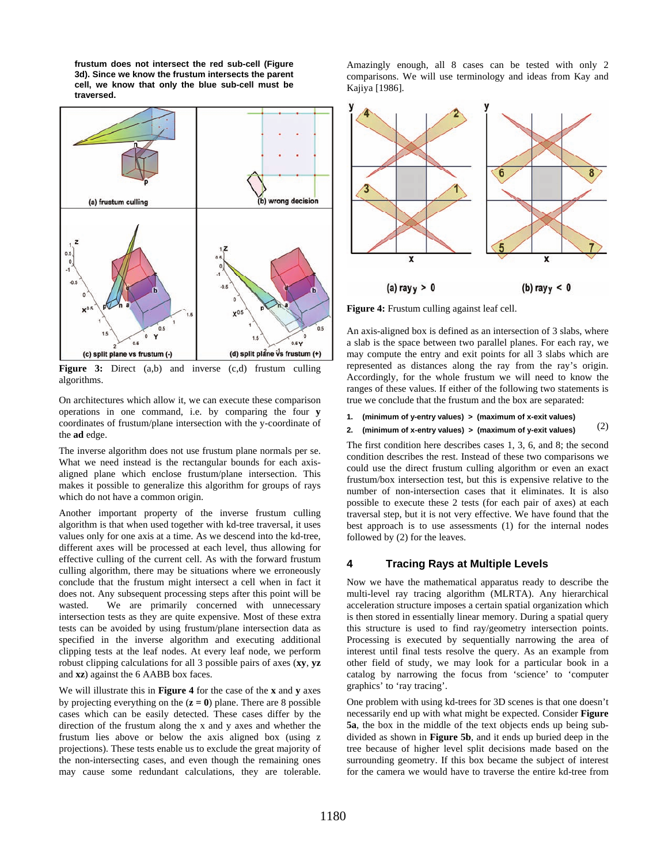**frustum does not intersect the red sub-cell ([Figure](#page-4-1)  [3d](#page-4-1)). Since we know the frustum intersects the parent cell, we know that only the blue sub-cell must be traversed.** 



<span id="page-4-2"></span><span id="page-4-1"></span>Figure 3: Direct (a,b) and inverse (c,d) frustum culling algorithms.

<span id="page-4-3"></span>On architectures which allow it, we can execute these comparison operations in one command, i.e. by comparing the four **y** coordinates of frustum/plane intersection with the y-coordinate of the **ad** edge.

The inverse algorithm does not use frustum plane normals per se. What we need instead is the rectangular bounds for each axisaligned plane which enclose frustum/plane intersection. This makes it possible to generalize this algorithm for groups of rays which do not have a common origin.

<span id="page-4-0"></span>Another important property of the inverse frustum culling algorithm is that when used together with kd-tree traversal, it uses values only for one axis at a time. As we descend into the kd-tree, different axes will be processed at each level, thus allowing for effective culling of the current cell. As with the forward frustum culling algorithm, there may be situations where we erroneously conclude that the frustum might intersect a cell when in fact it does not. Any subsequent processing steps after this point will be wasted. We are primarily concerned with unnecessary intersection tests as they are quite expensive. Most of these extra tests can be avoided by using frustum/plane intersection data as specified in the inverse algorithm and executing additional clipping tests at the leaf nodes. At every leaf node, we perform robust clipping calculations for all 3 possible pairs of axes (**xy**, **yz** and **xz**) against the 6 AABB box faces.

We will illustrate this in **[Figure 4](#page-4-2)** for the case of the **x** and **y** axes by projecting everything on the (**z = 0**) plane. There are 8 possible cases which can be easily detected. These cases differ by the direction of the frustum along the x and y axes and whether the frustum lies above or below the axis aligned box (using z projections). These tests enable us to exclude the great majority of the non-intersecting cases, and even though the remaining ones may cause some redundant calculations, they are tolerable.

Amazingly enough, all 8 cases can be tested with only 2 comparisons. We will use terminology and ideas from Kay and Kajiya [1986].



**Figure 4:** Frustum culling against leaf cell.

An axis-aligned box is defined as an intersection of 3 slabs, where a slab is the space between two parallel planes. For each ray, we may compute the entry and exit points for all 3 slabs which are represented as distances along the ray from the ray's origin. Accordingly, for the whole frustum we will need to know the ranges of these values. If either of the following two statements is true we conclude that the frustum and the box are separated:

```
1. (minimum of y-entry values) > (maximum of x-exit values)
```

```
2. (minimum of x-entry values) > (maximum of y-exit values) (2)
```
The first condition here describes cases 1, 3, 6, and 8; the second condition describes the rest. Instead of these two comparisons we could use the direct frustum culling algorithm or even an exact frustum/box intersection test, but this is expensive relative to the number of non-intersection cases that it eliminates. It is also possible to execute these 2 tests (for each pair of axes) at each traversal step, but it is not very effective. We have found that the best approach is to use assessments [\(1\)](#page-3-1) for the internal nodes followed by [\(2\)](#page-4-3) for the leaves.

## **4 Tracing Rays at Multiple Levels**

Now we have the mathematical apparatus ready to describe the multi-level ray tracing algorithm (MLRTA). Any hierarchical acceleration structure imposes a certain spatial organization which is then stored in essentially linear memory. During a spatial query this structure is used to find ray/geometry intersection points. Processing is executed by sequentially narrowing the area of interest until final tests resolve the query. As an example from other field of study, we may look for a particular book in a catalog by narrowing the focus from 'science' to 'computer graphics' to 'ray tracing'.

One problem with using kd-trees for 3D scenes is that one doesn't necessarily end up with what might be expected. Consider **[Figure](#page-5-1)  [5](#page-5-1)a**, the box in the middle of the text objects ends up being subdivided as shown in **[Figure 5b](#page-5-1)**, and it ends up buried deep in the tree because of higher level split decisions made based on the surrounding geometry. If this box became the subject of interest for the camera we would have to traverse the entire kd-tree from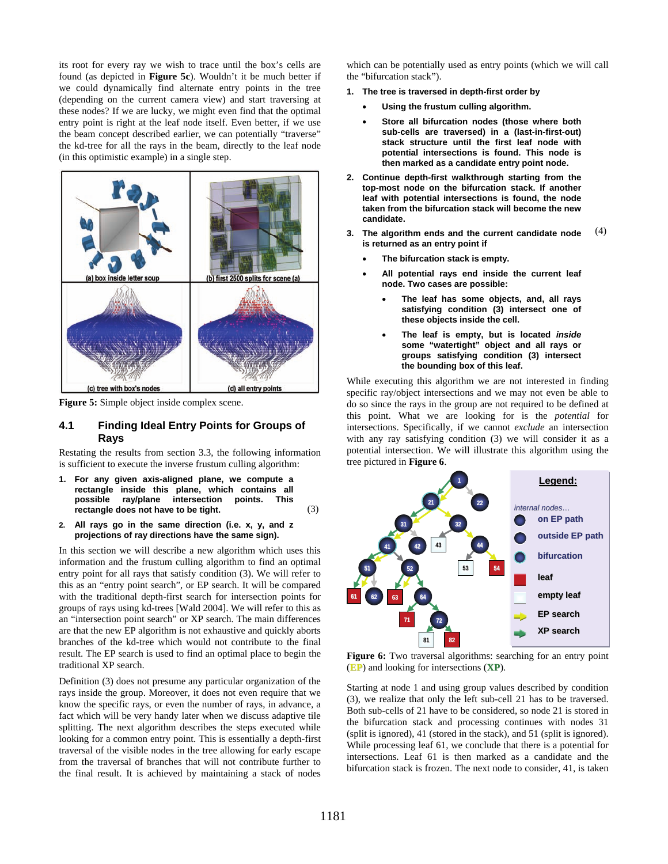its root for every ray we wish to trace until the box's cells are found (as depicted in **[Figure 5](#page-5-1)c**). Wouldn't it be much better if we could dynamically find alternate entry points in the tree (depending on the current camera view) and start traversing at these nodes? If we are lucky, we might even find that the optimal entry point is right at the leaf node itself. Even better, if we use the beam concept described earlier, we can potentially "traverse" the kd-tree for all the rays in the beam, directly to the leaf node (in this optimistic example) in a single step.



<span id="page-5-1"></span>**Figure 5:** Simple object inside complex scene.

### <span id="page-5-0"></span>**4.1 Finding Ideal Entry Points for Groups of Rays**

Restating the results from section [3.3](#page-2-0), the following information is sufficient to execute the inverse frustum culling algorithm:

- **1. For any given axis-aligned plane, we compute a rectangle inside this plane, which contains all possible ray/plane intersection points. This rectangle does not have to be tight.**  (3)
- <span id="page-5-2"></span>**2. All rays go in the same direction (i.e. x, y, and z projections of ray directions have the same sign).**

In this section we will describe a new algorithm which uses this information and the frustum culling algorithm to find an optimal entry point for all rays that satisfy condition [\(3\)](#page-5-2). We will refer to this as an "entry point search", or EP search. It will be compared with the traditional depth-first search for intersection points for groups of rays using kd-trees [Wald 2004]. We will refer to this as an "intersection point search" or XP search. The main differences are that the new EP algorithm is not exhaustive and quickly aborts branches of the kd-tree which would not contribute to the final result. The EP search is used to find an optimal place to begin the traditional XP search.

<span id="page-5-3"></span>Definition [\(3\)](#page-5-2) does not presume any particular organization of the rays inside the group. Moreover, it does not even require that we know the specific rays, or even the number of rays, in advance, a fact which will be very handy later when we discuss adaptive tile splitting. The next algorithm describes the steps executed while looking for a common entry point. This is essentially a depth-first traversal of the visible nodes in the tree allowing for early escape from the traversal of branches that will not contribute further to the final result. It is achieved by maintaining a stack of nodes which can be potentially used as entry points (which we will call the "bifurcation stack").

- **1. The tree is traversed in depth-first order by** 
	- **Using the frustum culling algorithm.**
	- **Store all bifurcation nodes (those where both sub-cells are traversed) in a (last-in-first-out) stack structure until the first leaf node with potential intersections is found. This node is then marked as a candidate entry point node.**
- **2. Continue depth-first walkthrough starting from the top-most node on the bifurcation stack. If another leaf with potential intersections is found, the node taken from the bifurcation stack will become the new candidate.**
- **3. The algorithm ends and the current candidate node is returned as an entry point if**  (4)
	- **The bifurcation stack is empty.**
	- **All potential rays end inside the current leaf node. Two cases are possible:** 
		- **The leaf has some objects, and, all rays satisfying condition [\(3\)](#page-5-2) intersect one of these objects inside the cell.**
		- **The leaf is empty, but is located** *inside* **some "watertight" object and all rays or groups satisfying condition [\(3\)](#page-5-2) intersect the bounding box of this leaf.**

While executing this algorithm we are not interested in finding specific ray/object intersections and we may not even be able to do so since the rays in the group are not required to be defined at this point. What we are looking for is the *potential* for intersections. Specifically, if we cannot *exclude* an intersection with any ray satisfying condition [\(3\)](#page-5-2) we will consider it as a potential intersection. We will illustrate this algorithm using the tree pictured in **[Figure 6](#page-5-3)**.



**Figure 6:** Two traversal algorithms: searching for an entry point (**EP**) and looking for intersections (**XP**).

Starting at node 1 and using group values described by condition [\(3\)](#page-5-2), we realize that only the left sub-cell 21 has to be traversed. Both sub-cells of 21 have to be considered, so node 21 is stored in the bifurcation stack and processing continues with nodes 31 (split is ignored), 41 (stored in the stack), and 51 (split is ignored). While processing leaf 61, we conclude that there is a potential for intersections. Leaf 61 is then marked as a candidate and the bifurcation stack is frozen. The next node to consider, 41, is taken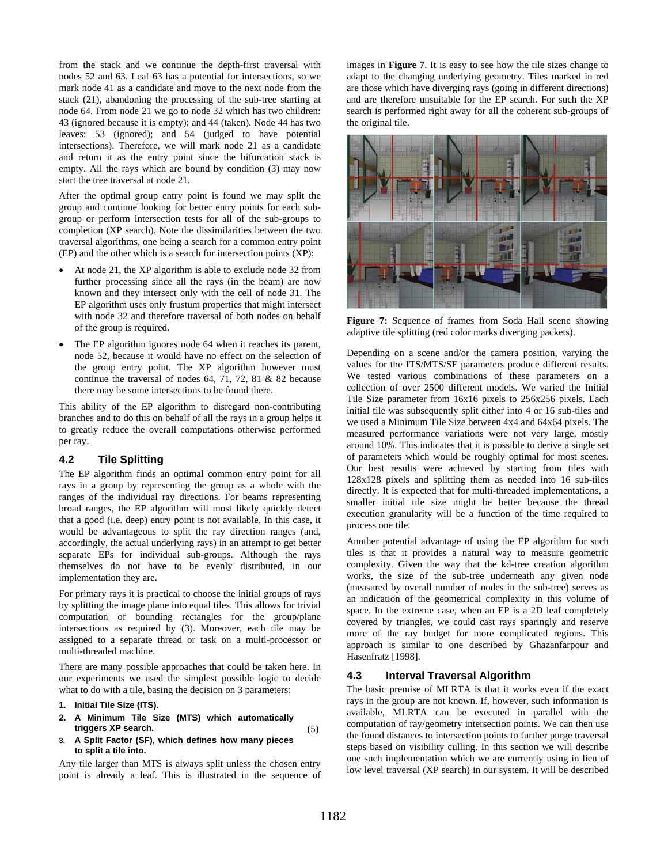from the stack and we continue the depth-first traversal with nodes 52 and 63. Leaf 63 has a potential for intersections, so we mark node 41 as a candidate and move to the next node from the stack (21), abandoning the processing of the sub-tree starting at node 64. From node 21 we go to node 32 which has two children: 43 (ignored because it is empty); and 44 (taken). Node 44 has two leaves: 53 (ignored); and 54 (judged to have potential intersections). Therefore, we will mark node 21 as a candidate and return it as the entry point since the bifurcation stack is empty. All the rays which are bound by condition [\(3\)](#page-5-2) may now start the tree traversal at node 21.

After the optimal group entry point is found we may split the group and continue looking for better entry points for each subgroup or perform intersection tests for all of the sub-groups to completion (XP search). Note the dissimilarities between the two traversal algorithms, one being a search for a common entry point (EP) and the other which is a search for intersection points (XP):

- At node 21, the XP algorithm is able to exclude node 32 from further processing since all the rays (in the beam) are now known and they intersect only with the cell of node 31. The EP algorithm uses only frustum properties that might intersect with node 32 and therefore traversal of both nodes on behalf of the group is required.
- <span id="page-6-1"></span>The EP algorithm ignores node 64 when it reaches its parent, node 52, because it would have no effect on the selection of the group entry point. The XP algorithm however must continue the traversal of nodes 64, 71, 72, 81 & 82 because there may be some intersections to be found there.

This ability of the EP algorithm to disregard non-contributing branches and to do this on behalf of all the rays in a group helps it to greatly reduce the overall computations otherwise performed per ray.

## **4.2 Tile Splitting**

The EP algorithm finds an optimal common entry point for all rays in a group by representing the group as a whole with the ranges of the individual ray directions. For beams representing broad ranges, the EP algorithm will most likely quickly detect that a good (i.e. deep) entry point is not available. In this case, it would be advantageous to split the ray direction ranges (and, accordingly, the actual underlying rays) in an attempt to get better separate EPs for individual sub-groups. Although the rays themselves do not have to be evenly distributed, in our implementation they are.

For primary rays it is practical to choose the initial groups of rays by splitting the image plane into equal tiles. This allows for trivial computation of bounding rectangles for the group/plane intersections as required by [\(3\).](#page-5-2) Moreover, each tile may be assigned to a separate thread or task on a multi-processor or multi-threaded machine.

<span id="page-6-0"></span>There are many possible approaches that could be taken here. In our experiments we used the simplest possible logic to decide what to do with a tile, basing the decision on 3 parameters:

- **1. Initial Tile Size (ITS).**
- **2. A Minimum Tile Size (MTS) which automatically triggers XP search.**
- **3. A Split Factor (SF), which defines how many pieces to split a tile into.**

Any tile larger than MTS is always split unless the chosen entry point is already a leaf. This is illustrated in the sequence of images in **[Figure 7](#page-6-1)**. It is easy to see how the tile sizes change to adapt to the changing underlying geometry. Tiles marked in red are those which have diverging rays (going in different directions) and are therefore unsuitable for the EP search. For such the XP search is performed right away for all the coherent sub-groups of the original tile.



**Figure 7:** Sequence of frames from Soda Hall scene showing adaptive tile splitting (red color marks diverging packets).

Depending on a scene and/or the camera position, varying the values for the ITS/MTS/SF parameters produce different results. We tested various combinations of these parameters on a collection of over 2500 different models. We varied the Initial Tile Size parameter from 16x16 pixels to 256x256 pixels. Each initial tile was subsequently split either into 4 or 16 sub-tiles and we used a Minimum Tile Size between 4x4 and 64x64 pixels. The measured performance variations were not very large, mostly around 10%. This indicates that it is possible to derive a single set of parameters which would be roughly optimal for most scenes. Our best results were achieved by starting from tiles with 128x128 pixels and splitting them as needed into 16 sub-tiles directly. It is expected that for multi-threaded implementations, a smaller initial tile size might be better because the thread execution granularity will be a function of the time required to process one tile.

Another potential advantage of using the EP algorithm for such tiles is that it provides a natural way to measure geometric complexity. Given the way that the kd-tree creation algorithm works, the size of the sub-tree underneath any given node (measured by overall number of nodes in the sub-tree) serves as an indication of the geometrical complexity in this volume of space. In the extreme case, when an EP is a 2D leaf completely covered by triangles, we could cast rays sparingly and reserve more of the ray budget for more complicated regions. This approach is similar to one described by Ghazanfarpour and Hasenfratz [1998].

## **4.3 Interval Traversal Algorithm**

The basic premise of MLRTA is that it works even if the exact rays in the group are not known. If, however, such information is available, MLRTA can be executed in parallel with the computation of ray/geometry intersection points. We can then use the found distances to intersection points to further purge traversal steps based on visibility culling. In this section we will describe one such implementation which we are currently using in lieu of low level traversal (XP search) in our system. It will be described

(5)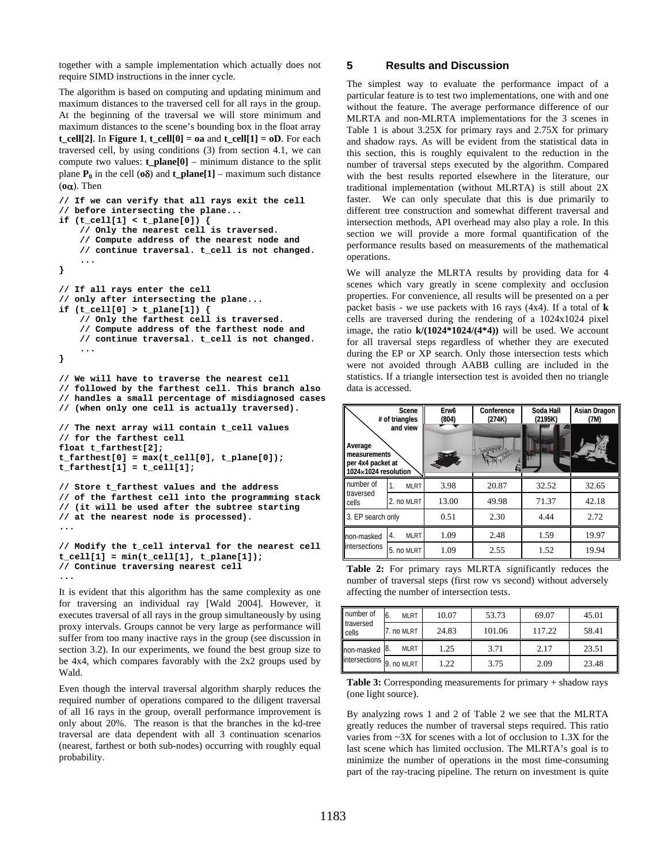<span id="page-7-0"></span>together with a sample implementation which actually does not require SIMD instructions in the inner cycle.

The algorithm is based on computing and updating minimum and maximum distances to the traversed cell for all rays in the group. At the beginning of the traversal we will store minimum and maximum distances to the scene's bounding box in the float array **t** cell[2]. In [Figure 1](#page-2-1), **t** cell[0] = oa and **t** cell[1] =  $oD$ . For each traversed cell, by using conditions [\(3\)](#page-5-2) from section [4.1,](#page-5-0) we can compute two values: **t\_plane[0]** – minimum distance to the split plane  $P_0$  in the cell ( $\omega$ δ) and **t\_plane**[1] – maximum such distance (**o**α). Then

```
// If we can verify that all rays exit the cell 
// before intersecting the plane... 
if (t_cell[1] < t_plane[0]) { 
     // Only the nearest cell is traversed. 
     // Compute address of the nearest node and 
     // continue traversal. t_cell is not changed. 
     ... 
} 
// If all rays enter the cell 
// only after intersecting the plane... 
if (t_cell[0] > t_plane[1]) { 
     // Only the farthest cell is traversed. 
     // Compute address of the farthest node and 
     // continue traversal. t_cell is not changed. 
     ... 
} 
// We will have to traverse the nearest cell 
// followed by the farthest cell. This branch also 
// handles a small percentage of misdiagnosed cases 
// (when only one cell is actually traversed). 
// The next array will contain t_cell values 
// for the farthest cell 
float t_farthest[2]; 
t_farthest[0] = max(t_cell[0], t_p)lane[0]);
t_farthest[1] = t_cell[1]; 
// Store t_farthest values and the address 
// of the farthest cell into the programming stack 
// (it will be used after the subtree starting 
// at the nearest node is processed). 
... 
// Modify the t_cell interval for the nearest cell 
t_cell[1] = min(t_cell[1], t_plane[1]); 
// Continue traversing nearest cell
```
<span id="page-7-1"></span>**...** 

It is evident that this algorithm has the same complexity as one for traversing an individual ray [Wald 2004]. However, it executes traversal of all rays in the group simultaneously by using proxy intervals. Groups cannot be very large as performance will suffer from too many inactive rays in the group (see discussion in section [3.2\)](#page-2-2). In our experiments, we found the best group size to be 4x4, which compares favorably with the 2x2 groups used by Wald.

<span id="page-7-2"></span>Even though the interval traversal algorithm sharply reduces the required number of operations compared to the diligent traversal of all 16 rays in the group, overall performance improvement is only about 20%. The reason is that the branches in the kd-tree traversal are data dependent with all 3 continuation scenarios (nearest, farthest or both sub-nodes) occurring with roughly equal probability.

### **5 Results and Discussion**

The simplest way to evaluate the performance impact of a particular feature is to test two implementations, one with and one without the feature. The average performance difference of our MLRTA and non-MLRTA implementations for the 3 scenes in [Table 1](#page-0-0) is about 3.25X for primary rays and 2.75X for primary and shadow rays. As will be evident from the statistical data in this section, this is roughly equivalent to the reduction in the number of traversal steps executed by the algorithm. Compared with the best results reported elsewhere in the literature, our traditional implementation (without MLRTA) is still about 2X faster. We can only speculate that this is due primarily to different tree construction and somewhat different traversal and intersection methods, API overhead may also play a role. In this section we will provide a more formal quantification of the performance results based on measurements of the mathematical operations.

We will analyze the MLRTA results by providing data for 4 scenes which vary greatly in scene complexity and occlusion properties. For convenience, all results will be presented on a per packet basis - we use packets with 16 rays (4x4). If a total of **k** cells are traversed during the rendering of a 1024x1024 pixel image, the ratio **k/(1024\*1024/(4\*4))** will be used. We account for all traversal steps regardless of whether they are executed during the EP or XP search. Only those intersection tests which were not avoided through AABB culling are included in the statistics. If a triangle intersection test is avoided then no triangle data is accessed.

| Scene<br># of triangles<br>and view<br>Average<br>measurements<br>per 4x4 packet at<br>1024×1024 resolution |                   | Erw6<br>(804) | Conference<br>(274K) | Soda Hall<br>(2195K) | Asian Dragon<br>(7M) |
|-------------------------------------------------------------------------------------------------------------|-------------------|---------------|----------------------|----------------------|----------------------|
|                                                                                                             |                   |               |                      |                      |                      |
| number of<br>traversed<br>cells                                                                             | 1.<br><b>MLRT</b> | 3.98          | 20.87                | 32.52                | 32.65                |
|                                                                                                             | 2. no MLRT        | 13.00         | 49.98                | 71.37                | 42.18                |
| 3. EP search only                                                                                           |                   | 0.51          | 2.30                 | 4.44                 | 2.72                 |
| non-masked<br>intersections                                                                                 | <b>MLRT</b><br>4. | 1.09          | 2.48                 | 1.59                 | 19.97                |
|                                                                                                             | 5. no MLRT        | 1.09          | 2.55                 | 1.52                 | 19.94                |

**Table 2:** For primary rays MLRTA significantly reduces the number of traversal steps (first row vs second) without adversely affecting the number of intersection tests.

| number of<br>traversed<br>cells | <b>MLRT</b> | 10.07 | 53.73  | 69.07  | 45.01 |
|---------------------------------|-------------|-------|--------|--------|-------|
|                                 | no MLRT     | 24.83 | 101.06 | 117.22 | 58.41 |
| non-masked                      | <b>MLRT</b> | 1.25  | 3.71   | 2.17   | 23.51 |
| intersections                   | 9. no MLRT  | 1.22  | 3.75   | 2.09   | 23.48 |

**Table 3:** Corresponding measurements for primary + shadow rays (one light source).

By analyzing rows 1 and 2 of [Table 2](#page-7-1) we see that the MLRTA greatly reduces the number of traversal steps required. This ratio varies from ~3X for scenes with a lot of occlusion to 1.3X for the last scene which has limited occlusion. The MLRTA's goal is to minimize the number of operations in the most time-consuming part of the ray-tracing pipeline. The return on investment is quite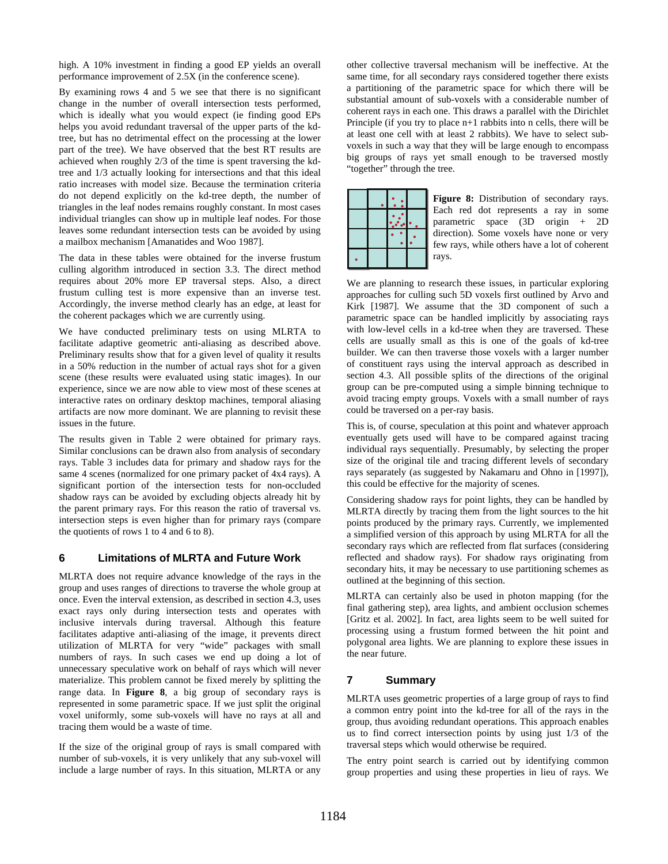high. A 10% investment in finding a good EP yields an overall performance improvement of 2.5X (in the conference scene).

By examining rows 4 and 5 we see that there is no significant change in the number of overall intersection tests performed, which is ideally what you would expect (ie finding good EPs helps you avoid redundant traversal of the upper parts of the kdtree, but has no detrimental effect on the processing at the lower part of the tree). We have observed that the best RT results are achieved when roughly 2/3 of the time is spent traversing the kdtree and 1/3 actually looking for intersections and that this ideal ratio increases with model size. Because the termination criteria do not depend explicitly on the kd-tree depth, the number of triangles in the leaf nodes remains roughly constant. In most cases individual triangles can show up in multiple leaf nodes. For those leaves some redundant intersection tests can be avoided by using a mailbox mechanism [Amanatides and Woo 1987].

The data in these tables were obtained for the inverse frustum culling algorithm introduced in section [3.3.](#page-2-0) The direct method requires about 20% more EP traversal steps. Also, a direct frustum culling test is more expensive than an inverse test. Accordingly, the inverse method clearly has an edge, at least for the coherent packages which we are currently using.

We have conducted preliminary tests on using MLRTA to facilitate adaptive geometric anti-aliasing as described above. Preliminary results show that for a given level of quality it results in a 50% reduction in the number of actual rays shot for a given scene (these results were evaluated using static images). In our experience, since we are now able to view most of these scenes at interactive rates on ordinary desktop machines, temporal aliasing artifacts are now more dominant. We are planning to revisit these issues in the future.

The results given in [Table 2](#page-7-1) were obtained for primary rays. Similar conclusions can be drawn also from analysis of secondary rays. [Table 3](#page-7-2) includes data for primary and shadow rays for the same 4 scenes (normalized for one primary packet of 4x4 rays). A significant portion of the intersection tests for non-occluded shadow rays can be avoided by excluding objects already hit by the parent primary rays. For this reason the ratio of traversal vs. intersection steps is even higher than for primary rays (compare the quotients of rows 1 to 4 and 6 to 8).

#### <span id="page-8-0"></span>**6 Limitations of MLRTA and Future Work**

MLRTA does not require advance knowledge of the rays in the group and uses ranges of directions to traverse the whole group at once. Even the interval extension, as described in section [4.3](#page-6-0), uses exact rays only during intersection tests and operates with inclusive intervals during traversal. Although this feature facilitates adaptive anti-aliasing of the image, it prevents direct utilization of MLRTA for very "wide" packages with small numbers of rays. In such cases we end up doing a lot of unnecessary speculative work on behalf of rays which will never materialize. This problem cannot be fixed merely by splitting the range data. In **Figure 8**, a big group of secondary rays is represented in some parametric space. If we just split the original voxel uniformly, some sub-voxels will have no rays at all and tracing them would be a waste of time.

If the size of the original group of rays is small compared with number of sub-voxels, it is very unlikely that any sub-voxel will include a large number of rays. In this situation, MLRTA or any other collective traversal mechanism will be ineffective. At the same time, for all secondary rays considered together there exists a partitioning of the parametric space for which there will be substantial amount of sub-voxels with a considerable number of coherent rays in each one. This draws a parallel with the Dirichlet Principle (if you try to place n+1 rabbits into n cells, there will be at least one cell with at least 2 rabbits). We have to select subvoxels in such a way that they will be large enough to encompass big groups of rays yet small enough to be traversed mostly "together" through the tree.



**Figure 8:** Distribution of secondary rays. Each red dot represents a ray in some parametric space (3D origin + 2D direction). Some voxels have none or very few rays, while others have a lot of coherent rays.

We are planning to research these issues, in particular exploring approaches for culling such 5D voxels first outlined by Arvo and Kirk [1987]. We assume that the 3D component of such a parametric space can be handled implicitly by associating rays with low-level cells in a kd-tree when they are traversed. These cells are usually small as this is one of the goals of kd-tree builder. We can then traverse those voxels with a larger number of constituent rays using the interval approach as described in section [4.3.](#page-6-0) All possible splits of the directions of the original group can be pre-computed using a simple binning technique to avoid tracing empty groups. Voxels with a small number of rays could be traversed on a per-ray basis.

This is, of course, speculation at this point and whatever approach eventually gets used will have to be compared against tracing individual rays sequentially. Presumably, by selecting the proper size of the original tile and tracing different levels of secondary rays separately (as suggested by Nakamaru and Ohno in [1997]), this could be effective for the majority of scenes.

Considering shadow rays for point lights, they can be handled by MLRTA directly by tracing them from the light sources to the hit points produced by the primary rays. Currently, we implemented a simplified version of this approach by using MLRTA for all the secondary rays which are reflected from flat surfaces (considering reflected and shadow rays). For shadow rays originating from secondary hits, it may be necessary to use partitioning schemes as outlined at the beginning of this section.

MLRTA can certainly also be used in photon mapping (for the final gathering step), area lights, and ambient occlusion schemes [Gritz et al. 2002]. In fact, area lights seem to be well suited for processing using a frustum formed between the hit point and polygonal area lights. We are planning to explore these issues in the near future.

#### **7 Summary**

MLRTA uses geometric properties of a large group of rays to find a common entry point into the kd-tree for all of the rays in the group, thus avoiding redundant operations. This approach enables us to find correct intersection points by using just 1/3 of the traversal steps which would otherwise be required.

The entry point search is carried out by identifying common group properties and using these properties in lieu of rays. We